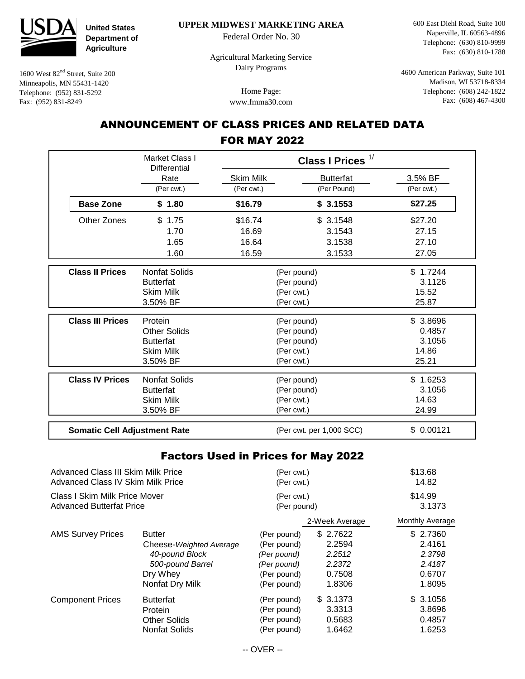

1600 West 82nd Street, Suite 200 Minneapolis, MN 55431-1420 Telephone: (952) 831-5292 Fax: (952) 831-8249

**United States Department of Agriculture**

 **UPPER MIDWEST MARKETING AREA**

Federal Order No. 30

 Agricultural Marketing Service Dairy Programs

> Home Page: www.fmma30.com

600 East Diehl Road, Suite 100 Naperville, IL 60563-4896 Telephone: (630) 810-9999 Fax: (630) 810-1788

4600 American Parkway, Suite 101 Madison, WI 53718-8334 Telephone: (608) 242-1822 Fax: (608) 467-4300

## ANNOUNCEMENT OF CLASS PRICES AND RELATED DATA FOR MAY 2022

|                                                                                | Market Class I<br><b>Differential</b>      | Class I Prices <sup>1/</sup> |                          |                  |
|--------------------------------------------------------------------------------|--------------------------------------------|------------------------------|--------------------------|------------------|
|                                                                                | Rate                                       | Skim Milk                    | <b>Butterfat</b>         | 3.5% BF          |
|                                                                                | (Per cwt.)                                 | (Per cwt.)                   | (Per Pound)              | (Per cwt.)       |
| <b>Base Zone</b>                                                               | \$1.80                                     | \$16.79                      | \$3.1553                 | \$27.25          |
| Other Zones                                                                    | \$1.75                                     | \$16.74                      | \$3.1548                 | \$27.20          |
|                                                                                | 1.70                                       | 16.69                        | 3.1543                   | 27.15            |
|                                                                                | 1.65                                       | 16.64                        | 3.1538                   | 27.10            |
|                                                                                | 1.60                                       | 16.59                        | 3.1533                   | 27.05            |
| <b>Class II Prices</b>                                                         | <b>Nonfat Solids</b>                       | (Per pound)                  |                          | \$1.7244         |
|                                                                                | <b>Butterfat</b>                           | (Per pound)                  |                          | 3.1126           |
|                                                                                | <b>Skim Milk</b>                           | (Per cwt.)                   |                          | 15.52            |
|                                                                                | 3.50% BF                                   | (Per cwt.)                   |                          | 25.87            |
| <b>Class III Prices</b>                                                        | Protein                                    | (Per pound)                  |                          | \$3.8696         |
|                                                                                | <b>Other Solids</b>                        | (Per pound)                  |                          | 0.4857           |
|                                                                                | <b>Butterfat</b>                           | (Per pound)                  |                          | 3.1056           |
|                                                                                | <b>Skim Milk</b>                           | (Per cwt.)                   |                          | 14.86            |
|                                                                                | 3.50% BF                                   | (Per cwt.)                   |                          | 25.21            |
| <b>Class IV Prices</b>                                                         | <b>Nonfat Solids</b>                       | (Per pound)                  |                          | \$1.6253         |
|                                                                                | <b>Butterfat</b>                           | (Per pound)                  |                          | 3.1056           |
|                                                                                | <b>Skim Milk</b>                           | (Per cwt.)                   |                          | 14.63            |
|                                                                                | 3.50% BF                                   | (Per cwt.)                   |                          | 24.99            |
| <b>Somatic Cell Adjustment Rate</b>                                            |                                            |                              | (Per cwt. per 1,000 SCC) | \$0.00121        |
|                                                                                | <b>Factors Used in Prices for May 2022</b> |                              |                          |                  |
| Advanced Class III Skim Milk Price<br><b>Advanced Class IV Skim Milk Price</b> |                                            | (Per cwt.)<br>(Per cwt.)     |                          | \$13.68<br>14.82 |
|                                                                                |                                            |                              |                          |                  |
| <b>Class I Skim Milk Price Mover</b>                                           |                                            | (Per cwt.)                   |                          | \$14.99          |
| <b>Advanced Butterfat Price</b>                                                |                                            | (Per pound)                  |                          | 3.1373           |
|                                                                                |                                            |                              | 2-Week Average           | Monthly Average  |
| <b>AMS Survey Prices</b>                                                       | <b>Butter</b>                              | (Per pound)                  | \$2.7622                 | \$ 2.7360        |
|                                                                                | Cheese-Weighted Average                    | (Per pound)                  | 2.2594                   | 2.4161           |
|                                                                                | 40-pound Block                             | (Per pound)                  | 2.2512                   | 2.3798           |
|                                                                                | 500-pound Barrel                           | (Per pound)                  | 2.2372                   | 2.4187           |
|                                                                                | Dry Whey                                   | (Per pound)                  | 0.7508                   | 0.6707           |
|                                                                                | Nonfat Dry Milk                            | (Per pound)                  | 1.8306                   | 1.8095           |
| <b>Component Prices</b>                                                        | <b>Butterfat</b>                           | (Per pound)                  | \$3.1373                 | \$3.1056         |
|                                                                                | Protein                                    | (Per pound)                  | 3.3313                   | 3.8696           |
|                                                                                | <b>Other Solids</b>                        | (Per pound)                  | 0.5683                   | 0.4857           |

(Per pound)

Nonfat Solids

1.6462

1.6253